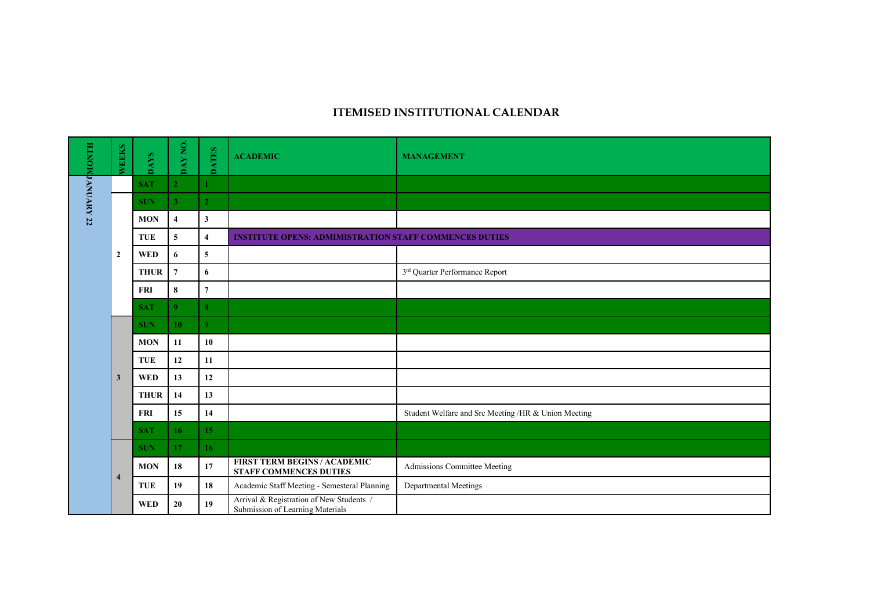## **ITEMISED INSTITUTIONAL CALENDAR**

| HLNOMJANUARY 22 | WEEKS          | <b>DAYS</b> | DAY NO.                 | <b>DATES</b>            | <b>ACADEMIC</b>                                                              | <b>MANAGEMENT</b>                                   |
|-----------------|----------------|-------------|-------------------------|-------------------------|------------------------------------------------------------------------------|-----------------------------------------------------|
|                 |                | <b>SAT</b>  | $\overline{2}$          | $\mathbf{1}$            |                                                                              |                                                     |
|                 |                | <b>SUN</b>  | 3 <sup>2</sup>          | $\overline{2}$          |                                                                              |                                                     |
|                 |                | <b>MON</b>  | $\overline{\mathbf{4}}$ | $\mathbf{3}$            |                                                                              |                                                     |
|                 |                | <b>TUE</b>  | 5                       | $\overline{\mathbf{4}}$ | <b>INSTITUTE OPENS: ADMIMISTRATION STAFF COMMENCES DUTIES</b>                |                                                     |
|                 | $\overline{2}$ | <b>WED</b>  | 6                       | 5                       |                                                                              |                                                     |
|                 |                | <b>THUR</b> | $\overline{7}$          | 6                       |                                                                              | 3rd Quarter Performance Report                      |
|                 |                | <b>FRI</b>  | $\bf 8$                 | $\overline{7}$          |                                                                              |                                                     |
|                 |                | <b>SAT</b>  | $\overline{9}$          | $\bf{8}$                |                                                                              |                                                     |
|                 |                | <b>SUN</b>  | 10                      | $\overline{9}$          |                                                                              |                                                     |
|                 |                | <b>MON</b>  | 11                      | 10                      |                                                                              |                                                     |
|                 |                | <b>TUE</b>  | 12                      | 11                      |                                                                              |                                                     |
|                 | $\mathbf{3}$   | <b>WED</b>  | 13                      | 12                      |                                                                              |                                                     |
|                 |                | <b>THUR</b> | 14                      | 13                      |                                                                              |                                                     |
|                 |                | <b>FRI</b>  | 15                      | 14                      |                                                                              | Student Welfare and Src Meeting /HR & Union Meeting |
|                 |                | <b>SAT</b>  | 16                      | 15                      |                                                                              |                                                     |
|                 |                | <b>SUN</b>  | 17                      | 16 <sup>2</sup>         |                                                                              |                                                     |
|                 | $\overline{4}$ | <b>MON</b>  | 18                      | 17                      | <b>FIRST TERM BEGINS / ACADEMIC</b><br><b>STAFF COMMENCES DUTIES</b>         | Admissions Committee Meeting                        |
|                 |                | <b>TUE</b>  | 19                      | 18                      | Academic Staff Meeting - Semesteral Planning                                 | Departmental Meetings                               |
|                 |                | <b>WED</b>  | 20                      | 19 <sup>°</sup>         | Arrival & Registration of New Students /<br>Submission of Learning Materials |                                                     |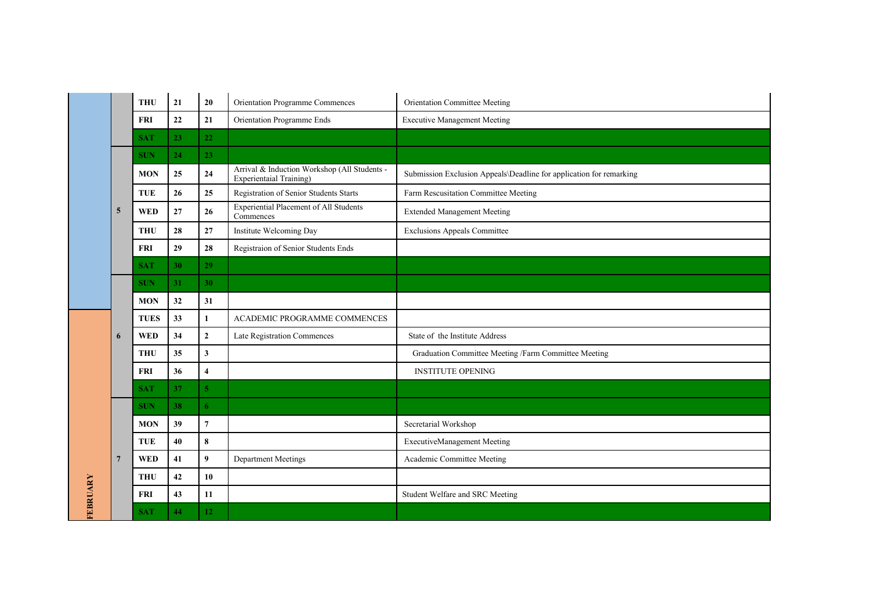|                 |                | <b>THU</b>  | 21 | 20                      | Orientation Programme Commences                                         | Orientation Committee Meeting                                       |
|-----------------|----------------|-------------|----|-------------------------|-------------------------------------------------------------------------|---------------------------------------------------------------------|
|                 |                | <b>FRI</b>  | 22 | $\bf 21$                | Orientation Programme Ends                                              | <b>Executive Management Meeting</b>                                 |
|                 |                | <b>SAT</b>  | 23 | 22                      |                                                                         |                                                                     |
|                 |                | <b>SUN</b>  | 24 | 23                      |                                                                         |                                                                     |
|                 |                | <b>MON</b>  | 25 | 24                      | Arrival & Induction Workshop (All Students -<br>Experientaial Training) | Submission Exclusion Appeals\Deadline for application for remarking |
|                 |                | <b>TUE</b>  | 26 | 25                      | Registration of Senior Students Starts                                  | Farm Rescusitation Committee Meeting                                |
|                 | 5              | <b>WED</b>  | 27 | 26                      | <b>Experiential Placement of All Students</b><br>Commences              | <b>Extended Management Meeting</b>                                  |
|                 |                | <b>THU</b>  | 28 | 27                      | Institute Welcoming Day                                                 | <b>Exclusions Appeals Committee</b>                                 |
|                 |                | <b>FRI</b>  | 29 | 28                      | Registraion of Senior Students Ends                                     |                                                                     |
|                 |                | <b>SAT</b>  | 30 | 29                      |                                                                         |                                                                     |
|                 |                | <b>SUN</b>  | 31 | 30                      |                                                                         |                                                                     |
|                 |                | <b>MON</b>  | 32 | 31                      |                                                                         |                                                                     |
|                 |                | <b>TUES</b> | 33 | $\mathbf{1}$            | ACADEMIC PROGRAMME COMMENCES                                            |                                                                     |
|                 | 6              | <b>WED</b>  | 34 | $\mathbf 2$             | Late Registration Commences                                             | State of the Institute Address                                      |
|                 |                | <b>THU</b>  | 35 | $\mathbf{3}$            |                                                                         | Graduation Committee Meeting /Farm Committee Meeting                |
|                 |                | <b>FRI</b>  | 36 | $\overline{\mathbf{4}}$ |                                                                         | <b>INSTITUTE OPENING</b>                                            |
|                 |                | <b>SAT</b>  | 37 | $\overline{5}$          |                                                                         |                                                                     |
|                 |                | <b>SUN</b>  | 38 | 6                       |                                                                         |                                                                     |
|                 |                | <b>MON</b>  | 39 | $\overline{7}$          |                                                                         | Secretarial Workshop                                                |
|                 |                | <b>TUE</b>  | 40 | $\pmb{8}$               |                                                                         | <b>ExecutiveManagement Meeting</b>                                  |
|                 | $\overline{7}$ | <b>WED</b>  | 41 | 9                       | <b>Department Meetings</b>                                              | Academic Committee Meeting                                          |
|                 |                | <b>THU</b>  | 42 | 10                      |                                                                         |                                                                     |
|                 |                | <b>FRI</b>  | 43 | 11                      |                                                                         | Student Welfare and SRC Meeting                                     |
| <b>FEBRUARY</b> |                | <b>SAT</b>  | 44 | 12                      |                                                                         |                                                                     |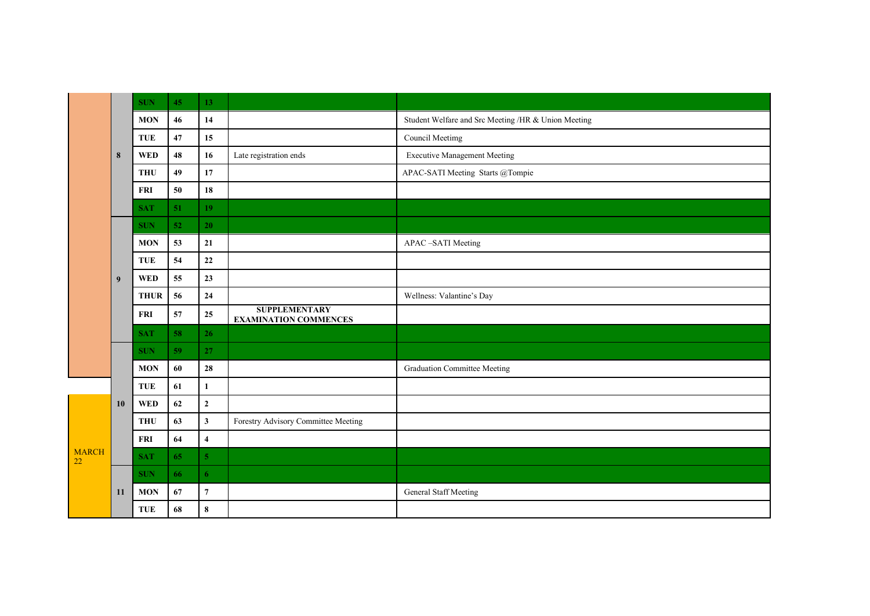|                    |    | <b>SUN</b>  | 45 | 13                      |                                                      |                                                     |
|--------------------|----|-------------|----|-------------------------|------------------------------------------------------|-----------------------------------------------------|
|                    |    | <b>MON</b>  | 46 | 14                      |                                                      | Student Welfare and Src Meeting /HR & Union Meeting |
|                    |    | <b>TUE</b>  | 47 | 15                      |                                                      | Council Meetimg                                     |
|                    | 8  | <b>WED</b>  | 48 | 16                      | Late registration ends                               | <b>Executive Management Meeting</b>                 |
|                    |    | <b>THU</b>  | 49 | 17                      |                                                      | APAC-SATI Meeting Starts @Tompie                    |
|                    |    | <b>FRI</b>  | 50 | 18                      |                                                      |                                                     |
|                    |    | <b>SAT</b>  | 51 | 19                      |                                                      |                                                     |
|                    |    | <b>SUN</b>  | 52 | 20                      |                                                      |                                                     |
|                    |    | <b>MON</b>  | 53 | 21                      |                                                      | APAC -SATI Meeting                                  |
|                    |    | <b>TUE</b>  | 54 | $\bf{22}$               |                                                      |                                                     |
|                    | 9  | <b>WED</b>  | 55 | 23                      |                                                      |                                                     |
|                    |    | <b>THUR</b> | 56 | ${\bf 24}$              |                                                      | Wellness: Valantine's Day                           |
|                    |    | <b>FRI</b>  | 57 | 25                      | <b>SUPPLEMENTARY</b><br><b>EXAMINATION COMMENCES</b> |                                                     |
|                    |    | <b>SAT</b>  | 58 | 26                      |                                                      |                                                     |
|                    |    | <b>SUN</b>  | 59 | 27                      |                                                      |                                                     |
|                    |    | <b>MON</b>  | 60 | 28                      |                                                      | <b>Graduation Committee Meeting</b>                 |
|                    |    | <b>TUE</b>  | 61 | $\mathbf{1}$            |                                                      |                                                     |
|                    | 10 | <b>WED</b>  | 62 | $\mathbf{2}$            |                                                      |                                                     |
|                    |    | <b>THU</b>  | 63 | $\mathbf{3}$            | Forestry Advisory Committee Meeting                  |                                                     |
|                    |    | <b>FRI</b>  | 64 | $\overline{\mathbf{4}}$ |                                                      |                                                     |
| <b>MARCH</b><br>22 |    | <b>SAT</b>  | 65 | $\overline{5}$          |                                                      |                                                     |
|                    |    | <b>SUN</b>  | 66 | 6                       |                                                      |                                                     |
|                    | 11 | <b>MON</b>  | 67 | $\boldsymbol{7}$        |                                                      | General Staff Meeting                               |
|                    |    | TUE         | 68 | $\bf 8$                 |                                                      |                                                     |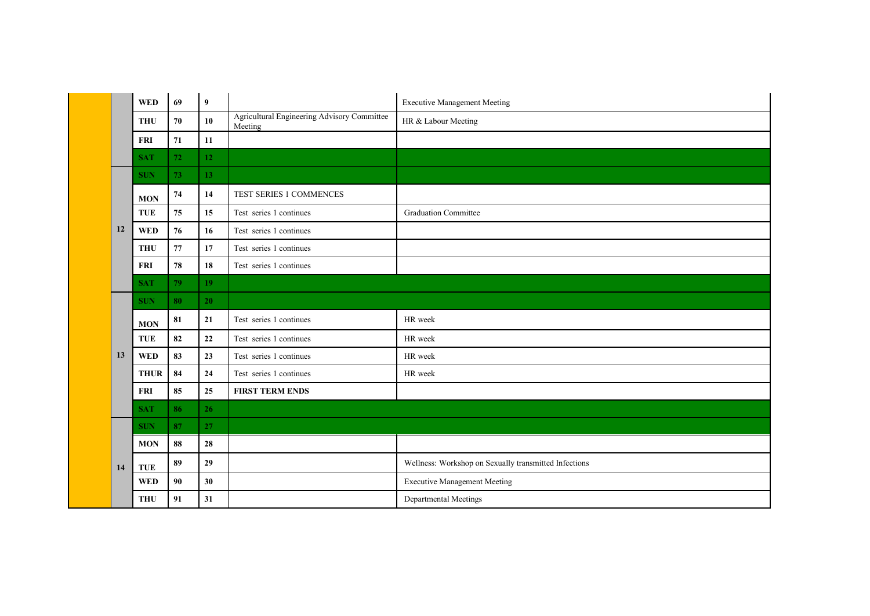|    | <b>WED</b>  | 69 | 9               |                                                        | <b>Executive Management Meeting</b>                   |
|----|-------------|----|-----------------|--------------------------------------------------------|-------------------------------------------------------|
|    | <b>THU</b>  | 70 | 10              | Agricultural Engineering Advisory Committee<br>Meeting | HR & Labour Meeting                                   |
|    | <b>FRI</b>  | 71 | 11              |                                                        |                                                       |
|    | <b>SAT</b>  | 72 | 12              |                                                        |                                                       |
|    | <b>SUN</b>  | 73 | 13              |                                                        |                                                       |
|    | <b>MON</b>  | 74 | 14              | TEST SERIES 1 COMMENCES                                |                                                       |
|    | <b>TUE</b>  | 75 | 15              | Test series 1 continues                                | <b>Graduation Committee</b>                           |
| 12 | <b>WED</b>  | 76 | 16              | Test series 1 continues                                |                                                       |
|    | <b>THU</b>  | 77 | 17              | Test series 1 continues                                |                                                       |
|    | <b>FRI</b>  | 78 | 18              | Test series 1 continues                                |                                                       |
|    | <b>SAT</b>  | 79 | 19 <sup>°</sup> |                                                        |                                                       |
|    | <b>SUN</b>  | 80 | 20              |                                                        |                                                       |
|    | <b>MON</b>  | 81 | 21              | Test series 1 continues                                | HR week                                               |
|    | <b>TUE</b>  | 82 | 22              | Test series 1 continues                                | HR week                                               |
| 13 | <b>WED</b>  | 83 | 23              | Test series 1 continues                                | HR week                                               |
|    | <b>THUR</b> | 84 | ${\bf 24}$      | Test series 1 continues                                | HR week                                               |
|    | <b>FRI</b>  | 85 | 25              | <b>FIRST TERM ENDS</b>                                 |                                                       |
|    | <b>SAT</b>  | 86 | 26              |                                                        |                                                       |
|    | <b>SUN</b>  | 87 | 27              |                                                        |                                                       |
|    | <b>MON</b>  | 88 | 28              |                                                        |                                                       |
| 14 | <b>TUE</b>  | 89 | 29              |                                                        | Wellness: Workshop on Sexually transmitted Infections |
|    | <b>WED</b>  | 90 | 30              |                                                        | <b>Executive Management Meeting</b>                   |
|    | <b>THU</b>  | 91 | 31              |                                                        | Departmental Meetings                                 |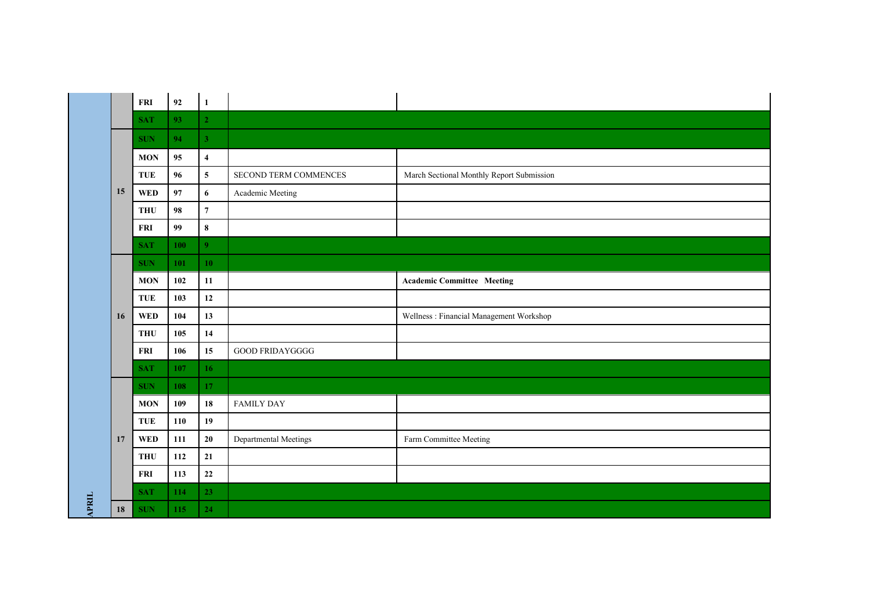|              |    | FRI        | 92  | $\mathbf{1}$            |                        |                                           |
|--------------|----|------------|-----|-------------------------|------------------------|-------------------------------------------|
|              |    | <b>SAT</b> | 93  | 2 <sup>1</sup>          |                        |                                           |
|              |    | <b>SUN</b> | 94  | 3 <sup>1</sup>          |                        |                                           |
|              |    | <b>MON</b> | 95  | $\overline{\mathbf{4}}$ |                        |                                           |
|              |    | TUE        | 96  | $\overline{\mathbf{5}}$ | SECOND TERM COMMENCES  | March Sectional Monthly Report Submission |
|              | 15 | <b>WED</b> | 97  | $\boldsymbol{6}$        | Academic Meeting       |                                           |
|              |    | <b>THU</b> | 98  | $\overline{7}$          |                        |                                           |
|              |    | <b>FRI</b> | 99  | $\pmb{8}$               |                        |                                           |
|              |    | <b>SAT</b> | 100 | 9 <sup>°</sup>          |                        |                                           |
|              |    | <b>SUN</b> | 101 | 10                      |                        |                                           |
|              |    | <b>MON</b> | 102 | 11                      |                        | <b>Academic Committee Meeting</b>         |
|              |    | TUE        | 103 | $12 \,$                 |                        |                                           |
|              |    |            |     |                         |                        |                                           |
|              | 16 | <b>WED</b> | 104 | 13                      |                        | Wellness: Financial Management Workshop   |
|              |    | <b>THU</b> | 105 | 14                      |                        |                                           |
|              |    | <b>FRI</b> | 106 | 15                      | <b>GOOD FRIDAYGGGG</b> |                                           |
|              |    | <b>SAT</b> | 107 | 16 <sup>1</sup>         |                        |                                           |
|              |    | <b>SUN</b> | 108 | 17                      |                        |                                           |
|              |    | <b>MON</b> | 109 | ${\bf 18}$              | <b>FAMILY DAY</b>      |                                           |
|              |    | <b>TUE</b> | 110 | 19                      |                        |                                           |
|              | 17 | <b>WED</b> | 111 | $20\,$                  | Departmental Meetings  | Farm Committee Meeting                    |
|              |    | <b>THU</b> | 112 | 21                      |                        |                                           |
|              |    | <b>FRI</b> | 113 | $\bf{22}$               |                        |                                           |
| <b>APRIL</b> |    | <b>SAT</b> | 114 | 23                      |                        |                                           |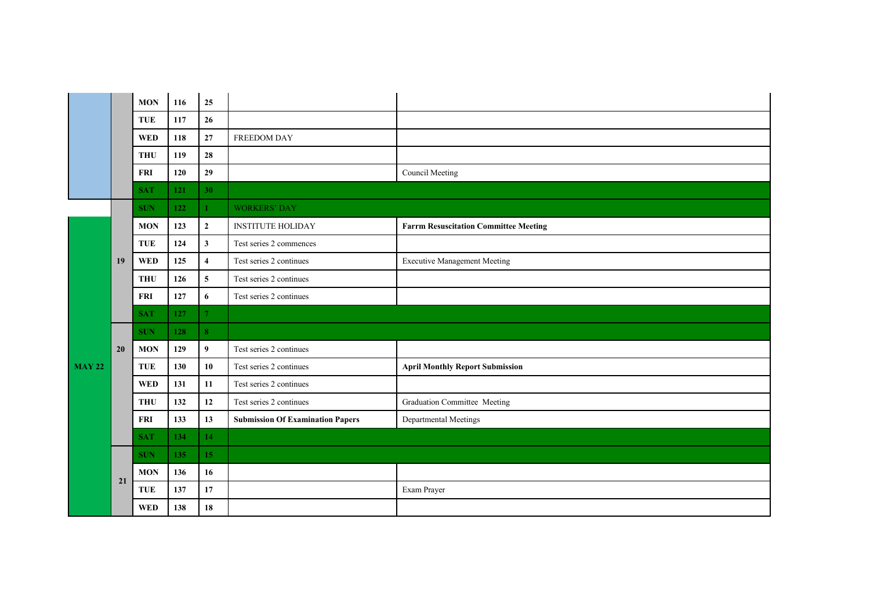|          |    | <b>MON</b> | 116 | 25               |                                         |                                              |
|----------|----|------------|-----|------------------|-----------------------------------------|----------------------------------------------|
|          |    | <b>TUE</b> | 117 | 26               |                                         |                                              |
|          |    | <b>WED</b> | 118 | 27               | <b>FREEDOM DAY</b>                      |                                              |
|          |    | <b>THU</b> | 119 | 28               |                                         |                                              |
|          |    | <b>FRI</b> | 120 | 29               |                                         | Council Meeting                              |
|          |    | <b>SAT</b> | 121 | 30 <sup>°</sup>  |                                         |                                              |
|          |    | <b>SUN</b> | 122 | $\mathbf{1}$     | <b>WORKERS' DAY</b>                     |                                              |
|          |    | <b>MON</b> | 123 | $\mathbf{2}$     | <b>INSTITUTE HOLIDAY</b>                | <b>Farrm Resuscitation Committee Meeting</b> |
|          |    | <b>TUE</b> | 124 | $\mathbf{3}$     | Test series 2 commences                 |                                              |
|          | 19 | <b>WED</b> | 125 | $\overline{4}$   | Test series 2 continues                 | <b>Executive Management Meeting</b>          |
|          |    | <b>THU</b> | 126 | $\overline{5}$   | Test series 2 continues                 |                                              |
|          |    | <b>FRI</b> | 127 | 6                | Test series 2 continues                 |                                              |
|          |    | <b>SAT</b> | 127 | $\overline{7}$   |                                         |                                              |
|          |    | <b>SUN</b> | 128 | 8 <sup>°</sup>   |                                         |                                              |
|          | 20 | <b>MON</b> | 129 | $\boldsymbol{9}$ | Test series 2 continues                 |                                              |
| $MAY$ 22 |    | <b>TUE</b> | 130 | 10               | Test series 2 continues                 | <b>April Monthly Report Submission</b>       |
|          |    | <b>WED</b> | 131 | 11               | Test series 2 continues                 |                                              |
|          |    | <b>THU</b> | 132 | 12               | Test series 2 continues                 | Graduation Committee Meeting                 |
|          |    | <b>FRI</b> | 133 | 13               | <b>Submission Of Examination Papers</b> | Departmental Meetings                        |
|          |    | <b>SAT</b> | 134 | 14               |                                         |                                              |
|          |    | <b>SUN</b> | 135 | 15               |                                         |                                              |
|          | 21 | <b>MON</b> | 136 | 16               |                                         |                                              |
|          |    | TUE        | 137 | 17               |                                         | Exam Prayer                                  |
|          |    | <b>WED</b> | 138 | 18               |                                         |                                              |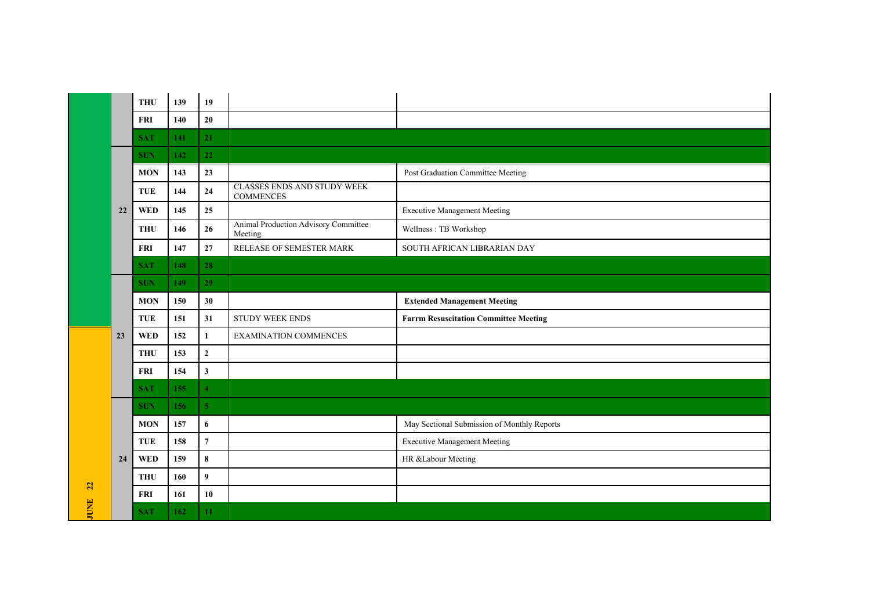|                   |    | <b>THU</b> | 139 | 19               |                                                        |                                              |
|-------------------|----|------------|-----|------------------|--------------------------------------------------------|----------------------------------------------|
|                   |    | <b>FRI</b> | 140 | $20\,$           |                                                        |                                              |
|                   |    | <b>SAT</b> | 141 | 21               |                                                        |                                              |
|                   |    | <b>SUN</b> | 142 | 22               |                                                        |                                              |
|                   |    | <b>MON</b> | 143 | 23               |                                                        | Post Graduation Committee Meeting            |
|                   |    | <b>TUE</b> | 144 | 24               | <b>CLASSES ENDS AND STUDY WEEK</b><br><b>COMMENCES</b> |                                              |
|                   | 22 | <b>WED</b> | 145 | 25               |                                                        | <b>Executive Management Meeting</b>          |
|                   |    | <b>THU</b> | 146 | 26               | Animal Production Advisory Committee<br>Meeting        | Wellness: TB Workshop                        |
|                   |    | <b>FRI</b> | 147 | 27               | RELEASE OF SEMESTER MARK                               | SOUTH AFRICAN LIBRARIAN DAY                  |
|                   |    | <b>SAT</b> | 148 | 28               |                                                        |                                              |
|                   |    | <b>SUN</b> | 149 | 29               |                                                        |                                              |
|                   |    | <b>MON</b> | 150 | 30               |                                                        | <b>Extended Management Meeting</b>           |
|                   |    |            |     |                  |                                                        |                                              |
|                   |    | TUE        | 151 | 31               | <b>STUDY WEEK ENDS</b>                                 | <b>Farrm Resuscitation Committee Meeting</b> |
|                   | 23 | <b>WED</b> | 152 | $\mathbf 1$      | EXAMINATION COMMENCES                                  |                                              |
|                   |    | <b>THU</b> | 153 | $\overline{2}$   |                                                        |                                              |
|                   |    | <b>FRI</b> | 154 | $\mathbf{3}$     |                                                        |                                              |
|                   |    | <b>SAT</b> | 155 | $\overline{4}$   |                                                        |                                              |
|                   |    | <b>SUN</b> | 156 | 5 <sup>1</sup>   |                                                        |                                              |
|                   |    | <b>MON</b> | 157 | 6                |                                                        | May Sectional Submission of Monthly Reports  |
|                   |    | <b>TUE</b> | 158 | $\overline{7}$   |                                                        | <b>Executive Management Meeting</b>          |
|                   | 24 | <b>WED</b> | 159 | $\bf8$           |                                                        | HR &Labour Meeting                           |
|                   |    | <b>THU</b> | 160 | $\boldsymbol{9}$ |                                                        |                                              |
| 22<br><b>JUNE</b> |    | <b>FRI</b> | 161 | 10               |                                                        |                                              |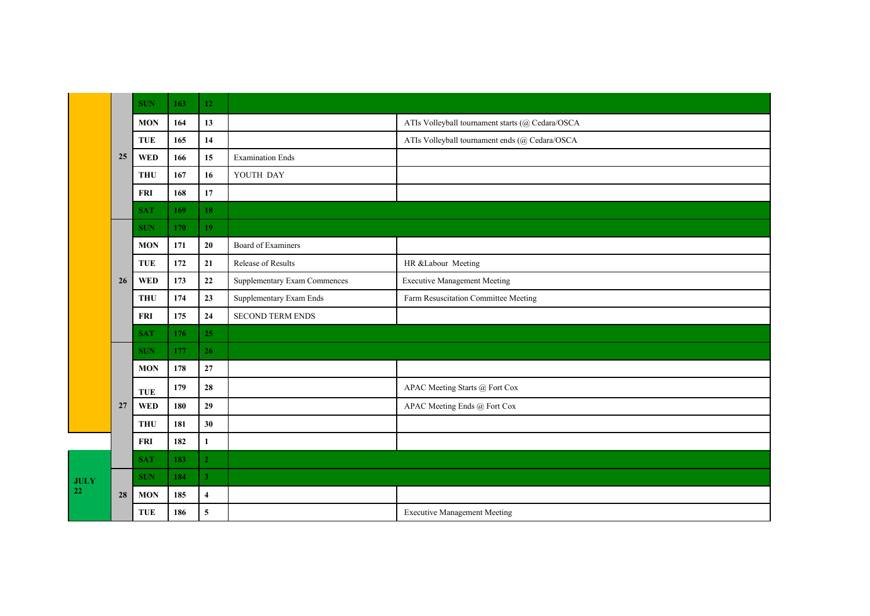|             |    | <b>SUN</b> | 163 | 12                      |                                     |                                                  |
|-------------|----|------------|-----|-------------------------|-------------------------------------|--------------------------------------------------|
|             |    | <b>MON</b> | 164 | 13                      |                                     | ATIs Volleyball tournament starts (@ Cedara/OSCA |
|             |    | <b>TUE</b> | 165 | 14                      |                                     | ATIs Volleyball tournament ends (@ Cedara/OSCA   |
|             | 25 | <b>WED</b> | 166 | 15                      | <b>Examination Ends</b>             |                                                  |
|             |    | <b>THU</b> | 167 | 16                      | YOUTH DAY                           |                                                  |
|             |    | FRI        | 168 | $17\,$                  |                                     |                                                  |
|             |    | <b>SAT</b> | 169 | 18                      |                                     |                                                  |
|             |    | <b>SUN</b> | 170 | 19                      |                                     |                                                  |
|             |    | <b>MON</b> | 171 | $20\,$                  | Board of Examiners                  |                                                  |
|             |    | <b>TUE</b> | 172 | 21                      | Release of Results                  | HR &Labour Meeting                               |
|             | 26 | <b>WED</b> | 173 | $\bf{22}$               | <b>Supplementary Exam Commences</b> | <b>Executive Management Meeting</b>              |
|             |    | <b>THU</b> | 174 | 23                      | Supplementary Exam Ends             | Farm Resuscitation Committee Meeting             |
|             |    | <b>FRI</b> | 175 | ${\bf 24}$              | <b>SECOND TERM ENDS</b>             |                                                  |
|             |    | <b>SAT</b> | 176 | 25                      |                                     |                                                  |
|             |    | <b>SUN</b> | 177 | 26                      |                                     |                                                  |
|             |    | <b>MON</b> | 178 | $\bf 27$                |                                     |                                                  |
|             |    | <b>TUE</b> | 179 | 28                      |                                     | APAC Meeting Starts @ Fort Cox                   |
|             | 27 | <b>WED</b> | 180 | 29                      |                                     | APAC Meeting Ends @ Fort Cox                     |
|             |    | <b>THU</b> | 181 | 30                      |                                     |                                                  |
|             |    | FRI        | 182 | $\mathbf{1}$            |                                     |                                                  |
|             |    | <b>SAT</b> | 183 | $\overline{2}$          |                                     |                                                  |
| <b>JULY</b> |    | <b>SUN</b> | 184 | $\overline{\mathbf{3}}$ |                                     |                                                  |
| 22          | 28 | <b>MON</b> | 185 | $\overline{\mathbf{4}}$ |                                     |                                                  |
|             |    | <b>TUE</b> | 186 | $\mathbf 5$             |                                     | <b>Executive Management Meeting</b>              |
|             |    |            |     |                         |                                     |                                                  |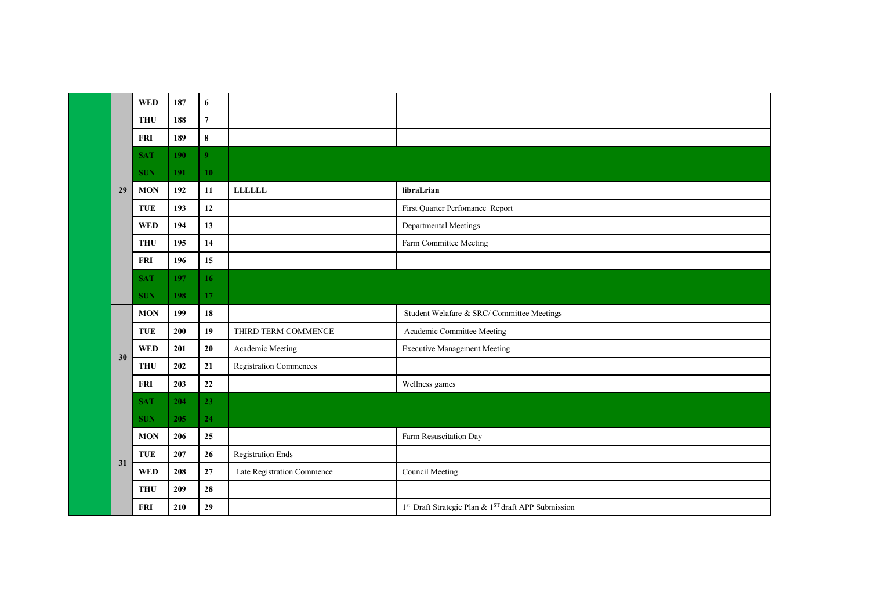|    | <b>WED</b> | 187 | 6              |                            |                                                     |
|----|------------|-----|----------------|----------------------------|-----------------------------------------------------|
|    | <b>THU</b> | 188 | $\overline{7}$ |                            |                                                     |
|    | <b>FRI</b> | 189 | 8              |                            |                                                     |
|    | <b>SAT</b> | 190 | $\overline{9}$ |                            |                                                     |
|    | <b>SUN</b> | 191 | 10             |                            |                                                     |
| 29 | <b>MON</b> | 192 | 11             | <b>LLLLLL</b>              | libraLrian                                          |
|    | <b>TUE</b> | 193 | 12             |                            | First Quarter Perfomance Report                     |
|    | <b>WED</b> | 194 | 13             |                            | Departmental Meetings                               |
|    | <b>THU</b> | 195 | 14             |                            | Farm Committee Meeting                              |
|    | <b>FRI</b> | 196 | 15             |                            |                                                     |
|    | <b>SAT</b> | 197 | 16             |                            |                                                     |
|    | <b>SUN</b> | 198 | 17             |                            |                                                     |
|    | <b>MON</b> | 199 | 18             |                            | Student Welafare & SRC/Committee Meetings           |
|    | <b>TUE</b> | 200 | 19             | THIRD TERM COMMENCE        | Academic Committee Meeting                          |
| 30 | <b>WED</b> | 201 | 20             | Academic Meeting           | <b>Executive Management Meeting</b>                 |
|    | <b>THU</b> | 202 | 21             | Registration Commences     |                                                     |
|    | <b>FRI</b> | 203 | 22             |                            | Wellness games                                      |
|    | <b>SAT</b> | 204 | 23             |                            |                                                     |
|    | <b>SUN</b> | 205 | 24             |                            |                                                     |
|    | <b>MON</b> | 206 | 25             |                            | Farm Resuscitation Day                              |
| 31 | <b>TUE</b> | 207 | 26             | <b>Registration Ends</b>   |                                                     |
|    | <b>WED</b> | 208 | 27             | Late Registration Commence | Council Meeting                                     |
|    | <b>THU</b> | 209 | 28             |                            |                                                     |
|    | <b>FRI</b> | 210 | 29             |                            | 1st Draft Strategic Plan & 1ST draft APP Submission |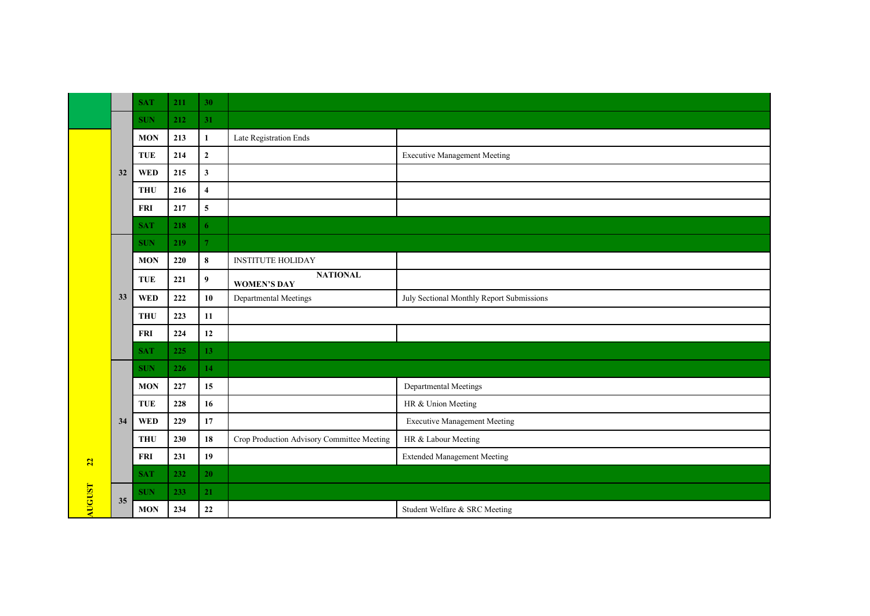|        |    | <b>SAT</b> | 211 | 30                      |                                            |                                           |
|--------|----|------------|-----|-------------------------|--------------------------------------------|-------------------------------------------|
|        |    | <b>SUN</b> | 212 | 31                      |                                            |                                           |
|        |    | <b>MON</b> | 213 | $\mathbf{1}$            | Late Registration Ends                     |                                           |
|        |    | TUE        | 214 | $\mathbf 2$             |                                            | <b>Executive Management Meeting</b>       |
|        | 32 | <b>WED</b> | 215 | $\mathbf{3}$            |                                            |                                           |
|        |    | <b>THU</b> | 216 | $\overline{\mathbf{4}}$ |                                            |                                           |
|        |    | <b>FRI</b> | 217 | $\overline{\mathbf{5}}$ |                                            |                                           |
|        |    | <b>SAT</b> | 218 | 6                       |                                            |                                           |
|        |    | <b>SUN</b> | 219 | $\mathcal{T}$           |                                            |                                           |
|        | 33 | <b>MON</b> | 220 | $\bf 8$                 | <b>INSTITUTE HOLIDAY</b>                   |                                           |
|        |    | <b>TUE</b> | 221 | $\boldsymbol{9}$        | <b>NATIONAL</b><br><b>WOMEN'S DAY</b>      |                                           |
|        |    | <b>WED</b> | 222 | 10                      | Departmental Meetings                      | July Sectional Monthly Report Submissions |
|        |    | <b>THU</b> | 223 | 11                      |                                            |                                           |
|        |    | <b>FRI</b> | 224 | 12                      |                                            |                                           |
|        |    | <b>SAT</b> | 225 | 13 <sup>°</sup>         |                                            |                                           |
|        |    | <b>SUN</b> | 226 | 14                      |                                            |                                           |
|        |    | <b>MON</b> | 227 | 15                      |                                            | Departmental Meetings                     |
|        |    | <b>TUE</b> | 228 | 16                      |                                            | HR & Union Meeting                        |
|        | 34 | <b>WED</b> | 229 | 17                      |                                            | <b>Executive Management Meeting</b>       |
|        |    | <b>THU</b> | 230 | 18                      | Crop Production Advisory Committee Meeting | HR & Labour Meeting                       |
| 22     |    | <b>FRI</b> | 231 | 19                      |                                            | <b>Extended Management Meeting</b>        |
|        |    | <b>SAT</b> | 232 | 20                      |                                            |                                           |
| AUGUST | 35 | <b>SUN</b> | 233 | 21                      |                                            |                                           |
|        |    | <b>MON</b> | 234 | 22                      |                                            | Student Welfare & SRC Meeting             |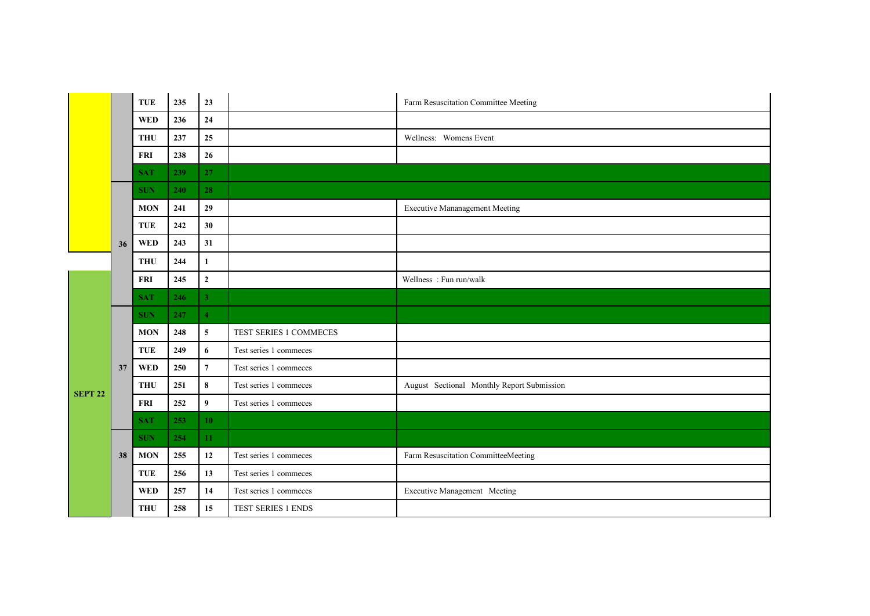|                |    | <b>TUE</b> | 235 | 23             |                        | Farm Resuscitation Committee Meeting       |
|----------------|----|------------|-----|----------------|------------------------|--------------------------------------------|
|                |    | <b>WED</b> | 236 | 24             |                        |                                            |
|                |    | <b>THU</b> | 237 | 25             |                        | Wellness: Womens Event                     |
|                |    | <b>FRI</b> | 238 | 26             |                        |                                            |
|                |    | <b>SAT</b> | 239 | 27             |                        |                                            |
|                |    | <b>SUN</b> | 240 | 28             |                        |                                            |
|                |    | <b>MON</b> | 241 | 29             |                        | <b>Executive Mananagement Meeting</b>      |
|                | 36 | <b>TUE</b> | 242 | 30             |                        |                                            |
|                |    | <b>WED</b> | 243 | 31             |                        |                                            |
|                |    | <b>THU</b> | 244 | $\mathbf{1}$   |                        |                                            |
|                |    | <b>FRI</b> | 245 | $\overline{2}$ |                        | Wellness: Fun run/walk                     |
|                |    | <b>SAT</b> | 246 | $\overline{3}$ |                        |                                            |
|                |    | <b>SUN</b> | 247 | $\overline{4}$ |                        |                                            |
|                |    | <b>MON</b> | 248 | 5              | TEST SERIES 1 COMMECES |                                            |
|                |    | <b>TUE</b> | 249 | 6              | Test series 1 commeces |                                            |
|                | 37 | <b>WED</b> | 250 | $\overline{7}$ | Test series 1 commeces |                                            |
| <b>SEPT 22</b> |    | <b>THU</b> | 251 | 8              | Test series 1 commeces | August Sectional Monthly Report Submission |
|                |    | <b>FRI</b> | 252 | 9              | Test series 1 commeces |                                            |
|                |    | <b>SAT</b> | 253 | 10             |                        |                                            |
|                |    | <b>SUN</b> | 254 | 11             |                        |                                            |
|                | 38 | <b>MON</b> | 255 | 12             | Test series 1 commeces | Farm Resuscitation CommitteeMeeting        |
|                |    | <b>TUE</b> | 256 | 13             | Test series 1 commeces |                                            |
|                |    | <b>WED</b> | 257 | 14             | Test series 1 commeces | <b>Executive Management Meeting</b>        |
|                |    | <b>THU</b> | 258 | 15             | TEST SERIES 1 ENDS     |                                            |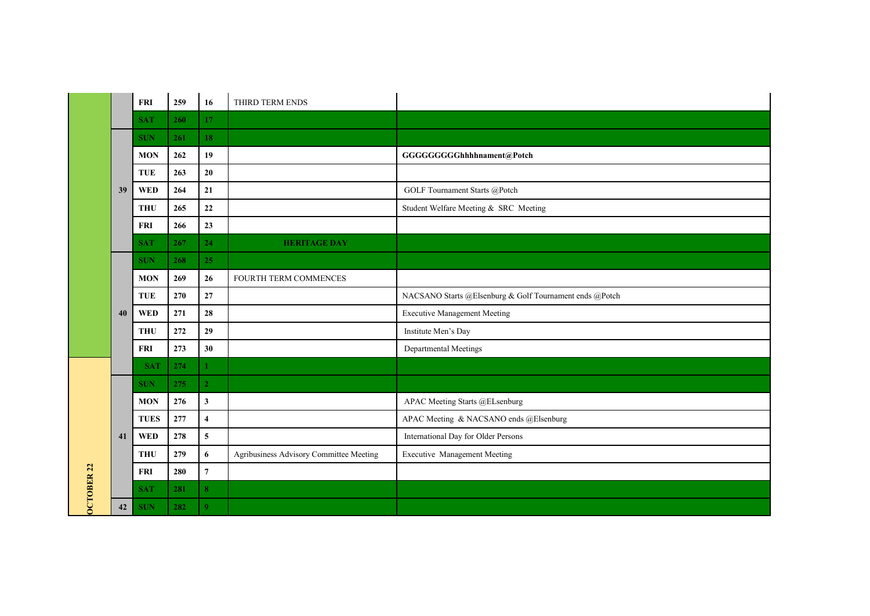|                   |    | <b>FRI</b>  | 259 | 16                      | THIRD TERM ENDS                         |                                                         |
|-------------------|----|-------------|-----|-------------------------|-----------------------------------------|---------------------------------------------------------|
|                   |    | <b>SAT</b>  | 260 | 17                      |                                         |                                                         |
|                   |    | <b>SUN</b>  | 261 | 18                      |                                         |                                                         |
|                   |    | <b>MON</b>  | 262 | 19                      |                                         | GGGGGGGGGhhhhnament@Potch                               |
|                   |    | <b>TUE</b>  | 263 | $20\,$                  |                                         |                                                         |
|                   | 39 | <b>WED</b>  | 264 | 21                      |                                         | GOLF Tournament Starts @Potch                           |
|                   |    | <b>THU</b>  | 265 | $\bf{22}$               |                                         | Student Welfare Meeting & SRC Meeting                   |
|                   |    | <b>FRI</b>  | 266 | 23                      |                                         |                                                         |
|                   |    | <b>SAT</b>  | 267 | 24                      | <b>HERITAGE DAY</b>                     |                                                         |
|                   |    | <b>SUN</b>  | 268 | 25                      |                                         |                                                         |
|                   |    | <b>MON</b>  | 269 | 26                      | FOURTH TERM COMMENCES                   |                                                         |
|                   |    | <b>TUE</b>  | 270 | 27                      |                                         | NACSANO Starts @Elsenburg & Golf Tournament ends @Potch |
|                   | 40 | <b>WED</b>  | 271 | 28                      |                                         | <b>Executive Management Meeting</b>                     |
|                   |    | <b>THU</b>  | 272 | 29                      |                                         | Institute Men's Day                                     |
|                   |    | <b>FRI</b>  | 273 | 30                      |                                         | Departmental Meetings                                   |
|                   |    | <b>SAT</b>  | 274 | $\mathbf{1}$            |                                         |                                                         |
|                   |    | <b>SUN</b>  | 275 | $\overline{2}$          |                                         |                                                         |
|                   |    | <b>MON</b>  | 276 | $\mathbf{3}$            |                                         | APAC Meeting Starts @ELsenburg                          |
|                   |    | <b>TUES</b> | 277 | $\overline{\mathbf{4}}$ |                                         | APAC Meeting & NACSANO ends @Elsenburg                  |
|                   | 41 | <b>WED</b>  | 278 | $\overline{\mathbf{5}}$ |                                         | International Day for Older Persons                     |
|                   |    | <b>THU</b>  | 279 | 6                       | Agribusiness Advisory Committee Meeting | <b>Executive Management Meeting</b>                     |
|                   |    | <b>FRI</b>  | 280 | $\overline{\mathbf{7}}$ |                                         |                                                         |
| <b>OCTOBER 22</b> |    | <b>SAT</b>  | 281 | 8                       |                                         |                                                         |
|                   | 42 | <b>SUN</b>  | 282 | $\boldsymbol{9}$        |                                         |                                                         |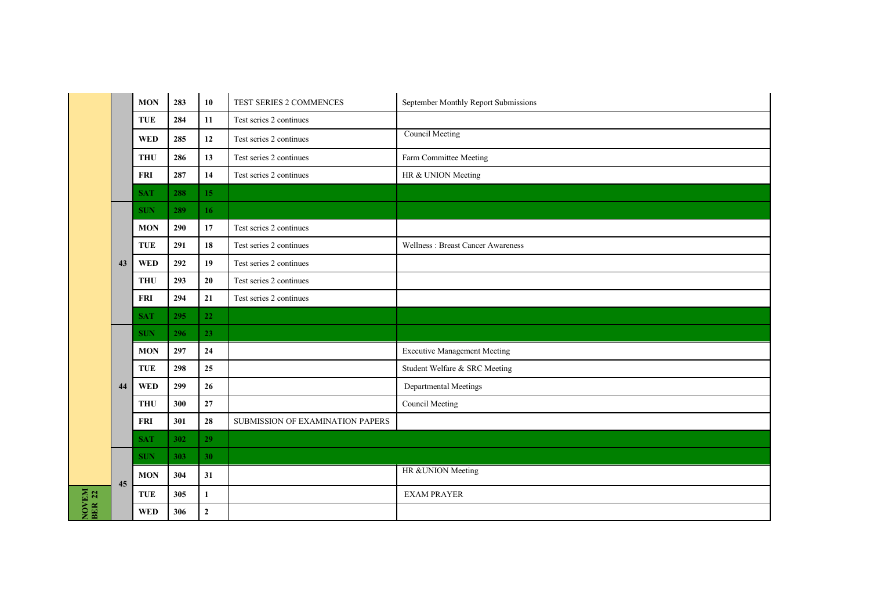|                 |    | <b>MON</b> | 283 | 10           | TEST SERIES 2 COMMENCES          | September Monthly Report Submissions     |
|-----------------|----|------------|-----|--------------|----------------------------------|------------------------------------------|
|                 |    | TUE        | 284 | $11\,$       | Test series 2 continues          |                                          |
|                 |    | <b>WED</b> | 285 | 12           | Test series 2 continues          | <b>Council Meeting</b>                   |
|                 |    | <b>THU</b> | 286 | 13           | Test series 2 continues          | Farm Committee Meeting                   |
|                 |    | <b>FRI</b> | 287 | 14           | Test series 2 continues          | HR & UNION Meeting                       |
|                 |    | <b>SAT</b> | 288 | 15           |                                  |                                          |
|                 |    | <b>SUN</b> | 289 | 16           |                                  |                                          |
|                 |    | <b>MON</b> | 290 | 17           | Test series 2 continues          |                                          |
|                 |    | <b>TUE</b> | 291 | 18           | Test series 2 continues          | <b>Wellness: Breast Cancer Awareness</b> |
|                 | 43 | <b>WED</b> | 292 | 19           | Test series 2 continues          |                                          |
|                 |    | <b>THU</b> | 293 | 20           | Test series 2 continues          |                                          |
|                 |    | <b>FRI</b> | 294 | 21           | Test series 2 continues          |                                          |
|                 |    |            |     |              |                                  |                                          |
|                 |    | <b>SAT</b> | 295 | 22           |                                  |                                          |
|                 |    | <b>SUN</b> | 296 | 23           |                                  |                                          |
|                 |    | <b>MON</b> | 297 | 24           |                                  | <b>Executive Management Meeting</b>      |
|                 |    | <b>TUE</b> | 298 | 25           |                                  | Student Welfare & SRC Meeting            |
|                 | 44 | <b>WED</b> | 299 | 26           |                                  | Departmental Meetings                    |
|                 |    | <b>THU</b> | 300 | $\bf 27$     |                                  | Council Meeting                          |
|                 |    | <b>FRI</b> | 301 | 28           | SUBMISSION OF EXAMINATION PAPERS |                                          |
|                 |    | <b>SAT</b> | 302 | 29           |                                  |                                          |
|                 |    | <b>SUN</b> | 303 | 30           |                                  |                                          |
|                 |    | <b>MON</b> | 304 | 31           |                                  | HR &UNION Meeting                        |
| NOVEM<br>BER 22 | 45 | <b>TUE</b> | 305 | $\mathbf{1}$ |                                  | <b>EXAM PRAYER</b>                       |

Г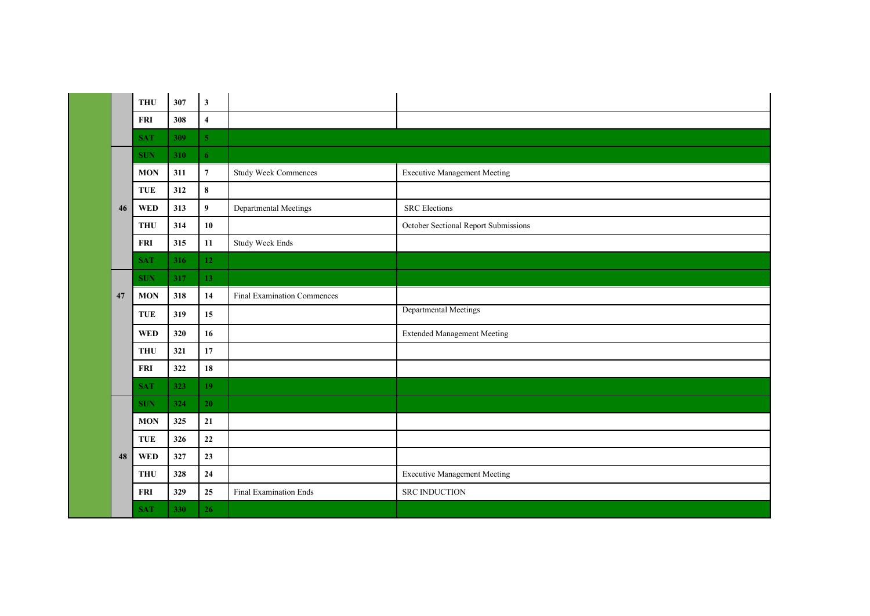|  |    | <b>THU</b> | 307 | $\mathbf{3}$            |                                    |                                      |
|--|----|------------|-----|-------------------------|------------------------------------|--------------------------------------|
|  |    | <b>FRI</b> | 308 | $\overline{\mathbf{4}}$ |                                    |                                      |
|  |    | <b>SAT</b> | 309 | $\overline{\mathbf{5}}$ |                                    |                                      |
|  | 46 | <b>SUN</b> | 310 | 6                       |                                    |                                      |
|  |    | <b>MON</b> | 311 | $\boldsymbol{7}$        | <b>Study Week Commences</b>        | <b>Executive Management Meeting</b>  |
|  |    | TUE        | 312 | $\pmb{8}$               |                                    |                                      |
|  |    | <b>WED</b> | 313 | 9 <sup>°</sup>          | Departmental Meetings              | <b>SRC</b> Elections                 |
|  |    | <b>THU</b> | 314 | $10$                    |                                    | October Sectional Report Submissions |
|  |    | <b>FRI</b> | 315 | 11                      | <b>Study Week Ends</b>             |                                      |
|  |    | <b>SAT</b> | 316 | 12                      |                                    |                                      |
|  |    | <b>SUN</b> | 317 | 13                      |                                    |                                      |
|  | 47 | <b>MON</b> | 318 | 14                      | <b>Final Examination Commences</b> |                                      |
|  |    | <b>TUE</b> | 319 | 15                      |                                    | Departmental Meetings                |
|  |    | <b>WED</b> | 320 | 16                      |                                    | <b>Extended Management Meeting</b>   |
|  |    | <b>THU</b> | 321 | 17                      |                                    |                                      |
|  |    | <b>FRI</b> | 322 | 18                      |                                    |                                      |
|  |    | <b>SAT</b> | 323 | 19                      |                                    |                                      |
|  |    | <b>SUN</b> | 324 | 20 <sub>2</sub>         |                                    |                                      |
|  |    | <b>MON</b> | 325 | 21                      |                                    |                                      |
|  |    | TUE        | 326 | $\bf 22$                |                                    |                                      |
|  | 48 | <b>WED</b> | 327 | 23                      |                                    |                                      |
|  |    | <b>THU</b> | 328 | ${\bf 24}$              |                                    | <b>Executive Management Meeting</b>  |
|  |    | <b>FRI</b> | 329 | 25                      | Final Examination Ends             | <b>SRC INDUCTION</b>                 |
|  |    | <b>SAT</b> | 330 | 26                      |                                    |                                      |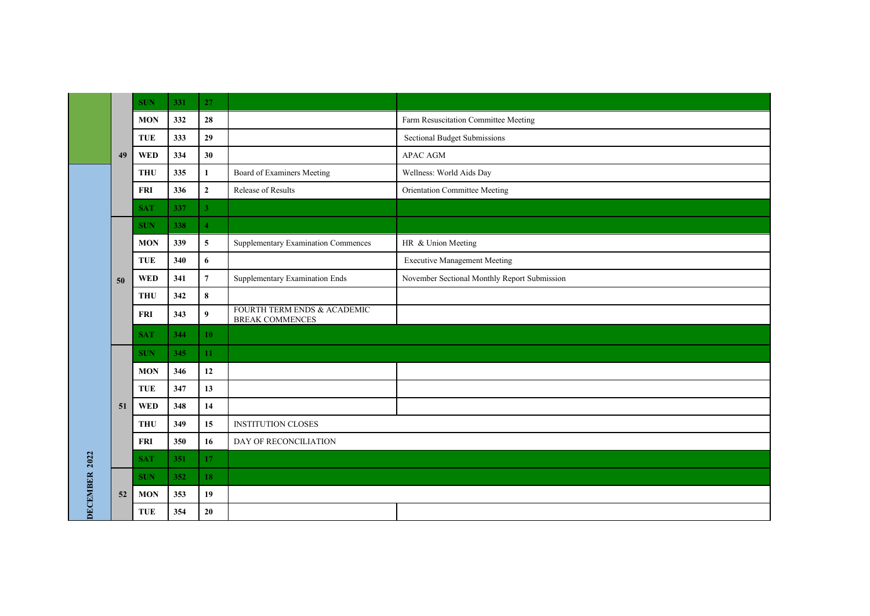|               | 49 | <b>SUN</b> | 331 | 27              |                                                       |                                              |
|---------------|----|------------|-----|-----------------|-------------------------------------------------------|----------------------------------------------|
|               |    | <b>MON</b> | 332 | 28              |                                                       | Farm Resuscitation Committee Meeting         |
|               |    | <b>TUE</b> | 333 | 29              |                                                       | <b>Sectional Budget Submissions</b>          |
|               |    | <b>WED</b> | 334 | 30              |                                                       | APAC AGM                                     |
|               |    | <b>THU</b> | 335 | $\mathbf{1}$    | Board of Examiners Meeting                            | Wellness: World Aids Day                     |
|               |    | <b>FRI</b> | 336 | $\mathbf{2}$    | Release of Results                                    | <b>Orientation Committee Meeting</b>         |
|               |    | <b>SAT</b> | 337 | 3 <sup>1</sup>  |                                                       |                                              |
|               |    | <b>SUN</b> | 338 | $\overline{4}$  |                                                       |                                              |
|               |    | <b>MON</b> | 339 | $5\phantom{.0}$ | <b>Supplementary Examination Commences</b>            | HR & Union Meeting                           |
|               |    | <b>TUE</b> | 340 | 6               |                                                       | <b>Executive Management Meeting</b>          |
|               | 50 | <b>WED</b> | 341 | $\overline{7}$  | Supplementary Examination Ends                        | November Sectional Monthly Report Submission |
|               |    | <b>THU</b> | 342 | $\pmb{8}$       |                                                       |                                              |
|               |    | <b>FRI</b> | 343 | 9               | FOURTH TERM ENDS & ACADEMIC<br><b>BREAK COMMENCES</b> |                                              |
|               |    | <b>SAT</b> | 344 | 10              |                                                       |                                              |
|               | 51 | <b>SUN</b> | 345 | 11              |                                                       |                                              |
|               |    | <b>MON</b> | 346 | 12              |                                                       |                                              |
|               |    | <b>TUE</b> | 347 | 13              |                                                       |                                              |
|               |    | <b>WED</b> | 348 | 14              |                                                       |                                              |
|               |    | <b>THU</b> | 349 | 15              | <b>INSTITUTION CLOSES</b>                             |                                              |
|               |    | <b>FRI</b> | 350 | 16              | DAY OF RECONCILIATION                                 |                                              |
|               |    | <b>SAT</b> | 351 | 17              |                                                       |                                              |
|               | 52 | <b>SUN</b> | 352 | 18              |                                                       |                                              |
| DECEMBER 2022 |    | <b>MON</b> | 353 | 19              |                                                       |                                              |
|               |    | TUE        | 354 | 20              |                                                       |                                              |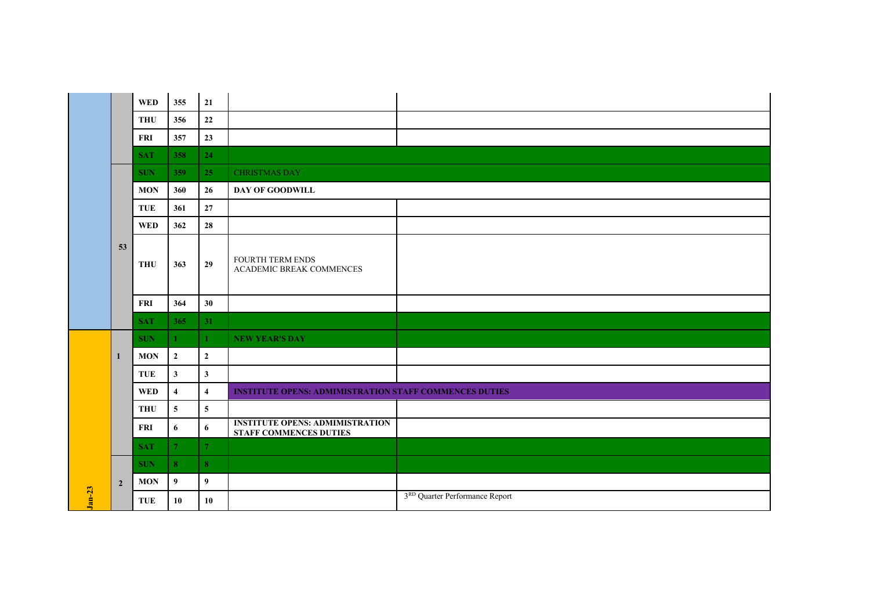|          |                | <b>WED</b> | 355             | 21                      |                                                                         |                                |
|----------|----------------|------------|-----------------|-------------------------|-------------------------------------------------------------------------|--------------------------------|
|          |                | <b>THU</b> | 356             | 22                      |                                                                         |                                |
|          |                | <b>FRI</b> | 357             | 23                      |                                                                         |                                |
|          |                | <b>SAT</b> | 358             | 24                      |                                                                         |                                |
|          |                | <b>SUN</b> | 359             | 25                      | <b>CHRISTMAS DAY</b>                                                    |                                |
|          |                | <b>MON</b> | 360             | 26                      | DAY OF GOODWILL                                                         |                                |
|          |                | <b>TUE</b> | 361             | 27                      |                                                                         |                                |
|          |                | <b>WED</b> | 362             | 28                      |                                                                         |                                |
|          | 53             | <b>THU</b> | 363             | 29                      | <b>FOURTH TERM ENDS</b><br>ACADEMIC BREAK COMMENCES                     |                                |
|          |                | <b>FRI</b> | 364             | 30                      |                                                                         |                                |
|          |                | <b>SAT</b> | 365             | 31                      |                                                                         |                                |
|          |                | <b>SUN</b> | $\mathbf{1}$    | $\mathbf{1}$            | <b>NEW YEAR'S DAY</b>                                                   |                                |
|          | $\mathbf{1}$   | <b>MON</b> | $\overline{2}$  | $\overline{2}$          |                                                                         |                                |
|          |                | <b>TUE</b> | $\mathbf{3}$    | $\mathbf{3}$            |                                                                         |                                |
|          |                | <b>WED</b> | $\overline{4}$  | $\overline{\mathbf{4}}$ | <b>INSTITUTE OPENS: ADMIMISTRATION STAFF COMMENCES DUTIES</b>           |                                |
|          |                | <b>THU</b> | $5\phantom{.0}$ | $\overline{\mathbf{5}}$ |                                                                         |                                |
|          |                | FRI        | 6               | $6\phantom{1}$          | <b>INSTITUTE OPENS: ADMIMISTRATION</b><br><b>STAFF COMMENCES DUTIES</b> |                                |
|          |                | <b>SAT</b> | 7 <sup>1</sup>  | $\overline{7}$          |                                                                         |                                |
|          | $\overline{2}$ | <b>SUN</b> | 8 <sup>°</sup>  | 8                       |                                                                         |                                |
|          |                | <b>MON</b> | 9               | $\overline{9}$          |                                                                         |                                |
| $Jan-23$ |                | <b>TUE</b> | 10              | 10                      |                                                                         | 3RD Quarter Performance Report |